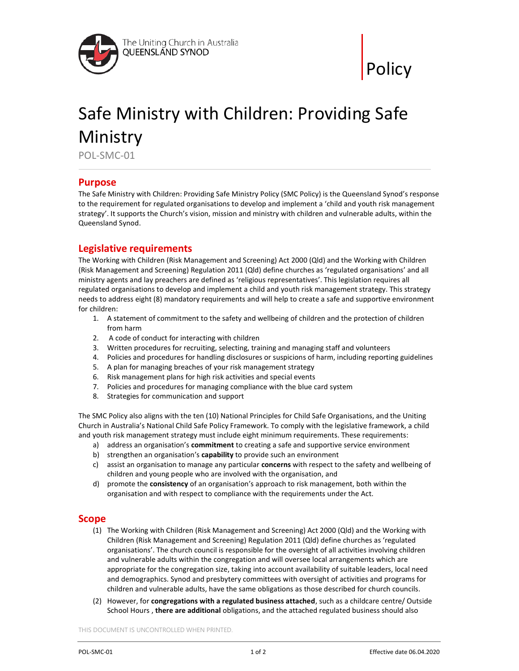



# Safe Ministry with Children: Providing Safe Ministry

POL-SMC-01

#### Purpose

The Safe Ministry with Children: Providing Safe Ministry Policy (SMC Policy) is the Queensland Synod's response to the requirement for regulated organisations to develop and implement a 'child and youth risk management strategy'. It supports the Church's vision, mission and ministry with children and vulnerable adults, within the Queensland Synod.

## Legislative requirements

The Working with Children (Risk Management and Screening) Act 2000 (Qld) and the Working with Children (Risk Management and Screening) Regulation 2011 (Qld) define churches as 'regulated organisations' and all ministry agents and lay preachers are defined as 'religious representatives'. This legislation requires all regulated organisations to develop and implement a child and youth risk management strategy. This strategy needs to address eight (8) mandatory requirements and will help to create a safe and supportive environment for children:

- 1. A statement of commitment to the safety and wellbeing of children and the protection of children from harm
- 2. A code of conduct for interacting with children
- 3. Written procedures for recruiting, selecting, training and managing staff and volunteers
- 4. Policies and procedures for handling disclosures or suspicions of harm, including reporting guidelines
- 5. A plan for managing breaches of your risk management strategy
- 6. Risk management plans for high risk activities and special events
- 7. Policies and procedures for managing compliance with the blue card system
- 8. Strategies for communication and support

The SMC Policy also aligns with the ten (10) National Principles for Child Safe Organisations, and the Uniting Church in Australia's National Child Safe Policy Framework. To comply with the legislative framework, a child and youth risk management strategy must include eight minimum requirements. These requirements:

- a) address an organisation's commitment to creating a safe and supportive service environment
- b) strengthen an organisation's capability to provide such an environment
- c) assist an organisation to manage any particular concerns with respect to the safety and wellbeing of children and young people who are involved with the organisation, and
- d) promote the consistency of an organisation's approach to risk management, both within the organisation and with respect to compliance with the requirements under the Act.

#### Scope

- (1) The Working with Children (Risk Management and Screening) Act 2000 (Qld) and the Working with Children (Risk Management and Screening) Regulation 2011 (Qld) define churches as 'regulated organisations'. The church council is responsible for the oversight of all activities involving children and vulnerable adults within the congregation and will oversee local arrangements which are appropriate for the congregation size, taking into account availability of suitable leaders, local need and demographics. Synod and presbytery committees with oversight of activities and programs for children and vulnerable adults, have the same obligations as those described for church councils.
- (2) However, for congregations with a regulated business attached, such as a childcare centre/ Outside School Hours, there are additional obligations, and the attached regulated business should also

THIS DOCUMENT IS UNCONTROLLED WHEN PRINTED.